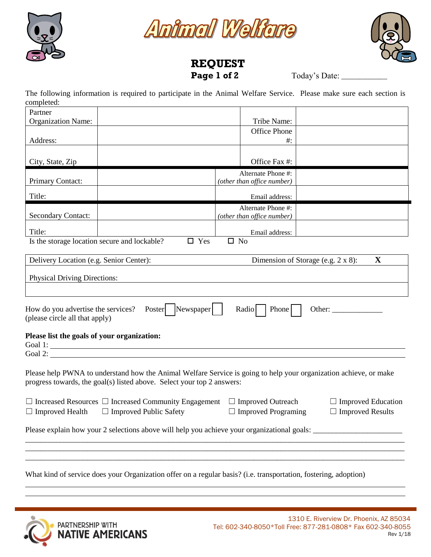





## **REQUEST Page 1 of 2** Today's Date: \_\_\_\_\_\_\_\_\_\_\_\_\_

The following information is required to participate in the Animal Welfare Service. Please make sure each section is completed:

| Partner                                                                                      |                                                                                                                   |                            |                           |
|----------------------------------------------------------------------------------------------|-------------------------------------------------------------------------------------------------------------------|----------------------------|---------------------------|
| <b>Organization Name:</b>                                                                    |                                                                                                                   | Tribe Name:                |                           |
|                                                                                              |                                                                                                                   | <b>Office Phone</b>        |                           |
| Address:                                                                                     |                                                                                                                   | $#$ :                      |                           |
|                                                                                              |                                                                                                                   |                            |                           |
| City, State, Zip                                                                             |                                                                                                                   | Office Fax #:              |                           |
|                                                                                              |                                                                                                                   | Alternate Phone #:         |                           |
| Primary Contact:                                                                             |                                                                                                                   | (other than office number) |                           |
| Title:                                                                                       |                                                                                                                   | Email address:             |                           |
|                                                                                              |                                                                                                                   | Alternate Phone #:         |                           |
| <b>Secondary Contact:</b>                                                                    |                                                                                                                   | (other than office number) |                           |
| Title:                                                                                       |                                                                                                                   | Email address:             |                           |
| Is the storage location secure and lockable?                                                 | $\square$ Yes                                                                                                     | $\square$ No               |                           |
|                                                                                              |                                                                                                                   |                            |                           |
| $\mathbf X$<br>Dimension of Storage (e.g. 2 x 8):<br>Delivery Location (e.g. Senior Center): |                                                                                                                   |                            |                           |
|                                                                                              |                                                                                                                   |                            |                           |
| <b>Physical Driving Directions:</b>                                                          |                                                                                                                   |                            |                           |
|                                                                                              |                                                                                                                   |                            |                           |
|                                                                                              |                                                                                                                   |                            |                           |
| How do you advertise the services?<br>(please circle all that apply)                         | Newspaper<br>Poster                                                                                               | Radio<br>Phone             | Other: $\_\_$             |
| Please list the goals of your organization:                                                  |                                                                                                                   |                            |                           |
|                                                                                              | Goal 1:                                                                                                           |                            |                           |
|                                                                                              | Goal 2:                                                                                                           |                            |                           |
|                                                                                              |                                                                                                                   |                            |                           |
|                                                                                              | Please help PWNA to understand how the Animal Welfare Service is going to help your organization achieve, or make |                            |                           |
|                                                                                              | progress towards, the goal(s) listed above. Select your top 2 answers:                                            |                            |                           |
|                                                                                              |                                                                                                                   |                            |                           |
|                                                                                              | $\Box$ Increased Resources $\Box$ Increased Community Engagement                                                  | $\Box$ Improved Outreach   | $\Box$ Improved Education |
| $\Box$ Improved Health                                                                       | $\Box$ Improved Public Safety                                                                                     | $\Box$ Improved Programing | $\Box$ Improved Results   |
|                                                                                              |                                                                                                                   |                            |                           |
|                                                                                              | Please explain how your 2 selections above will help you achieve your organizational goals:                       |                            |                           |
|                                                                                              |                                                                                                                   |                            |                           |
|                                                                                              |                                                                                                                   |                            |                           |
|                                                                                              |                                                                                                                   |                            |                           |
|                                                                                              |                                                                                                                   |                            |                           |
|                                                                                              | What kind of service does your Organization offer on a regular basis? (i.e. transportation, fostering, adoption)  |                            |                           |